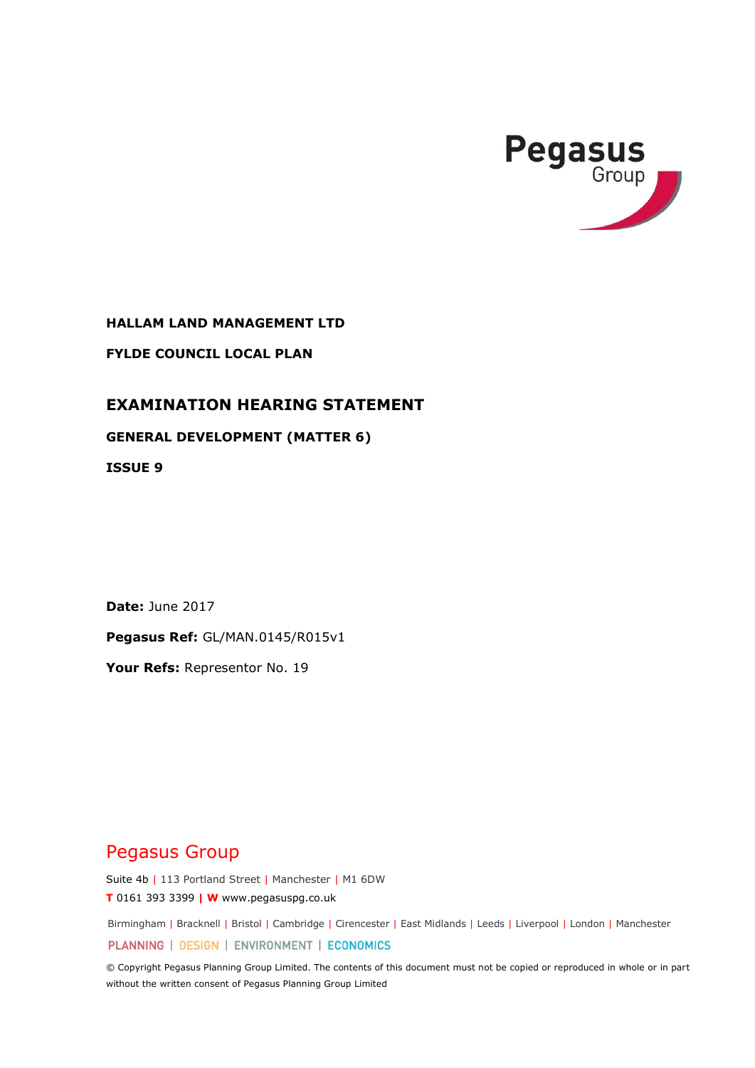

**HALLAM LAND MANAGEMENT LTD**

**FYLDE COUNCIL LOCAL PLAN**

## **EXAMINATION HEARING STATEMENT**

## **GENERAL DEVELOPMENT (MATTER 6)**

**ISSUE 9**

**Date:** June 2017

**Pegasus Ref:** GL/MAN.0145/R015v1

**Your Refs:** Representor No. 19

# Pegasus Group

Suite 4b | 113 Portland Street | Manchester | M1 6DW **T** 0161 393 3399 **| W** www.pegasuspg.co.uk

Birmingham | Bracknell | Bristol | Cambridge | Cirencester | East Midlands | Leeds | Liverpool | London | Manchester

PLANNING | DESIGN | ENVIRONMENT | ECONOMICS

© Copyright Pegasus Planning Group Limited. The contents of this document must not be copied or reproduced in whole or in part without the written consent of Pegasus Planning Group Limited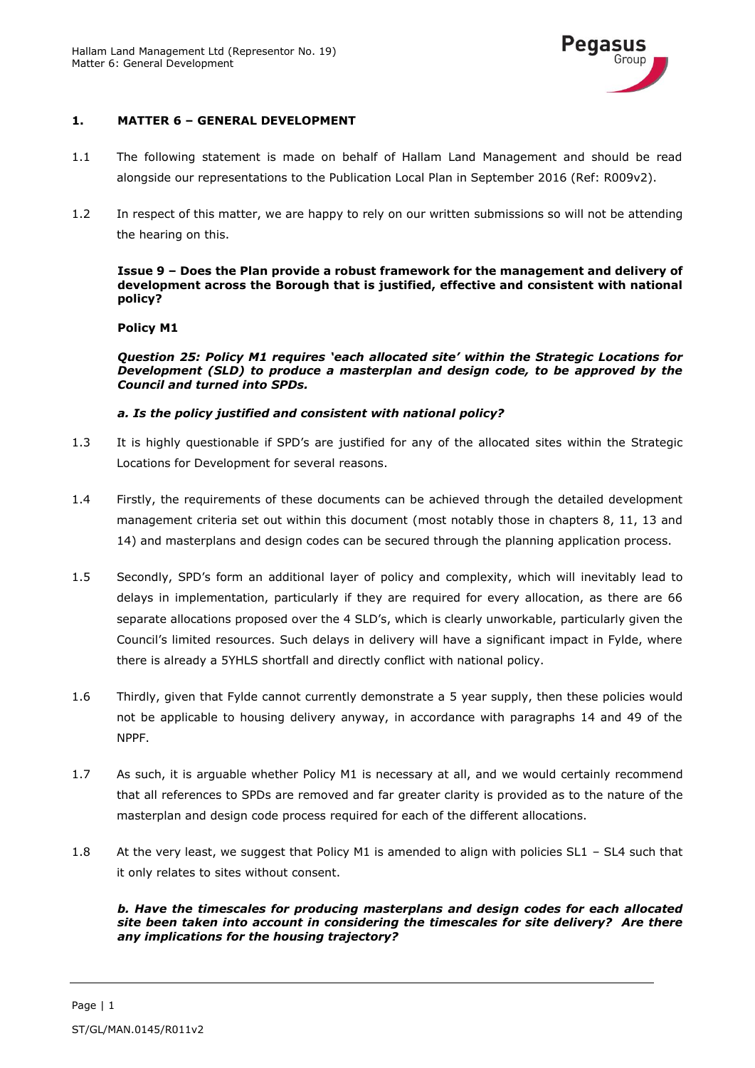

## **1. MATTER 6 – GENERAL DEVELOPMENT**

- 1.1 The following statement is made on behalf of Hallam Land Management and should be read alongside our representations to the Publication Local Plan in September 2016 (Ref: R009v2).
- 1.2 In respect of this matter, we are happy to rely on our written submissions so will not be attending the hearing on this.

#### **Issue 9 – Does the Plan provide a robust framework for the management and delivery of development across the Borough that is justified, effective and consistent with national policy?**

## **Policy M1**

*Question 25: Policy M1 requires 'each allocated site' within the Strategic Locations for Development (SLD) to produce a masterplan and design code, to be approved by the Council and turned into SPDs.* 

## *a. Is the policy justified and consistent with national policy?*

- 1.3 It is highly questionable if SPD's are justified for any of the allocated sites within the Strategic Locations for Development for several reasons.
- 1.4 Firstly, the requirements of these documents can be achieved through the detailed development management criteria set out within this document (most notably those in chapters 8, 11, 13 and 14) and masterplans and design codes can be secured through the planning application process.
- 1.5 Secondly, SPD's form an additional layer of policy and complexity, which will inevitably lead to delays in implementation, particularly if they are required for every allocation, as there are 66 separate allocations proposed over the 4 SLD's, which is clearly unworkable, particularly given the Council's limited resources. Such delays in delivery will have a significant impact in Fylde, where there is already a 5YHLS shortfall and directly conflict with national policy.
- 1.6 Thirdly, given that Fylde cannot currently demonstrate a 5 year supply, then these policies would not be applicable to housing delivery anyway, in accordance with paragraphs 14 and 49 of the NPPF.
- 1.7 As such, it is arguable whether Policy M1 is necessary at all, and we would certainly recommend that all references to SPDs are removed and far greater clarity is provided as to the nature of the masterplan and design code process required for each of the different allocations.
- 1.8 At the very least, we suggest that Policy M1 is amended to align with policies SL1 SL4 such that it only relates to sites without consent.

#### *b. Have the timescales for producing masterplans and design codes for each allocated site been taken into account in considering the timescales for site delivery? Are there any implications for the housing trajectory?*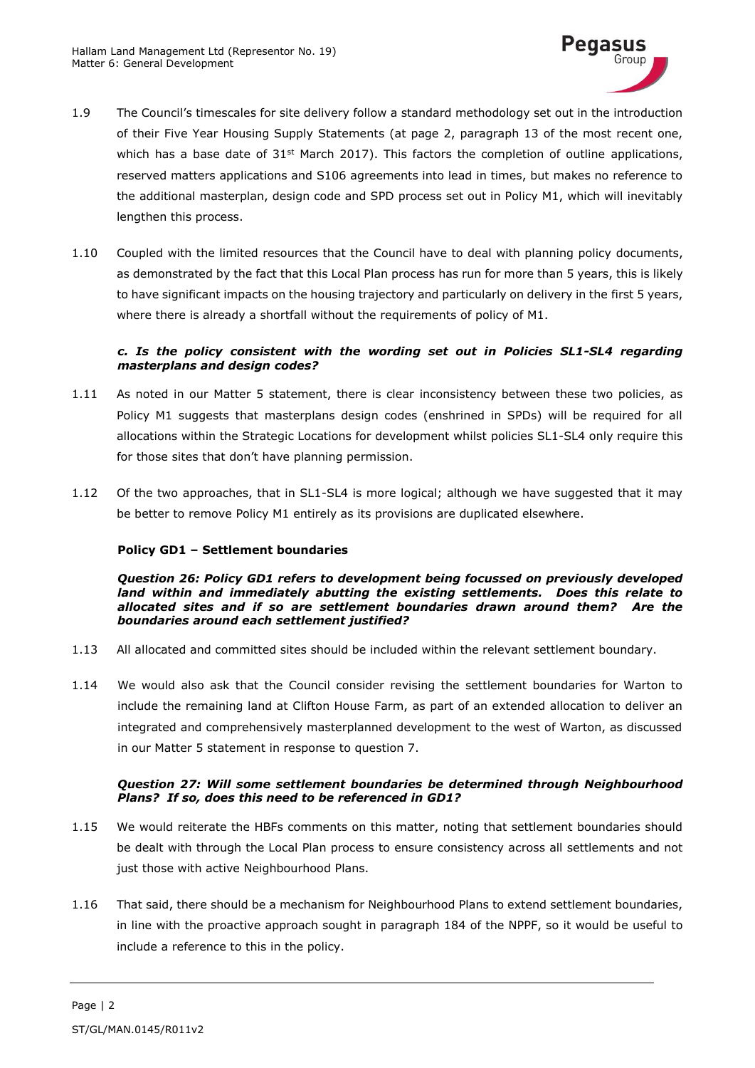

- 1.9 The Council's timescales for site delivery follow a standard methodology set out in the introduction of their Five Year Housing Supply Statements (at page 2, paragraph 13 of the most recent one, which has a base date of  $31<sup>st</sup>$  March 2017). This factors the completion of outline applications, reserved matters applications and S106 agreements into lead in times, but makes no reference to the additional masterplan, design code and SPD process set out in Policy M1, which will inevitably lengthen this process.
- 1.10 Coupled with the limited resources that the Council have to deal with planning policy documents, as demonstrated by the fact that this Local Plan process has run for more than 5 years, this is likely to have significant impacts on the housing trajectory and particularly on delivery in the first 5 years, where there is already a shortfall without the requirements of policy of M1.

## *c. Is the policy consistent with the wording set out in Policies SL1-SL4 regarding masterplans and design codes?*

- 1.11 As noted in our Matter 5 statement, there is clear inconsistency between these two policies, as Policy M1 suggests that masterplans design codes (enshrined in SPDs) will be required for all allocations within the Strategic Locations for development whilst policies SL1-SL4 only require this for those sites that don't have planning permission.
- 1.12 Of the two approaches, that in SL1-SL4 is more logical; although we have suggested that it may be better to remove Policy M1 entirely as its provisions are duplicated elsewhere.

## **Policy GD1 – Settlement boundaries**

*Question 26: Policy GD1 refers to development being focussed on previously developed land within and immediately abutting the existing settlements. Does this relate to allocated sites and if so are settlement boundaries drawn around them? Are the boundaries around each settlement justified?*

- 1.13 All allocated and committed sites should be included within the relevant settlement boundary.
- 1.14 We would also ask that the Council consider revising the settlement boundaries for Warton to include the remaining land at Clifton House Farm, as part of an extended allocation to deliver an integrated and comprehensively masterplanned development to the west of Warton, as discussed in our Matter 5 statement in response to question 7.

## *Question 27: Will some settlement boundaries be determined through Neighbourhood Plans? If so, does this need to be referenced in GD1?*

- 1.15 We would reiterate the HBFs comments on this matter, noting that settlement boundaries should be dealt with through the Local Plan process to ensure consistency across all settlements and not just those with active Neighbourhood Plans.
- 1.16 That said, there should be a mechanism for Neighbourhood Plans to extend settlement boundaries, in line with the proactive approach sought in paragraph 184 of the NPPF, so it would be useful to include a reference to this in the policy.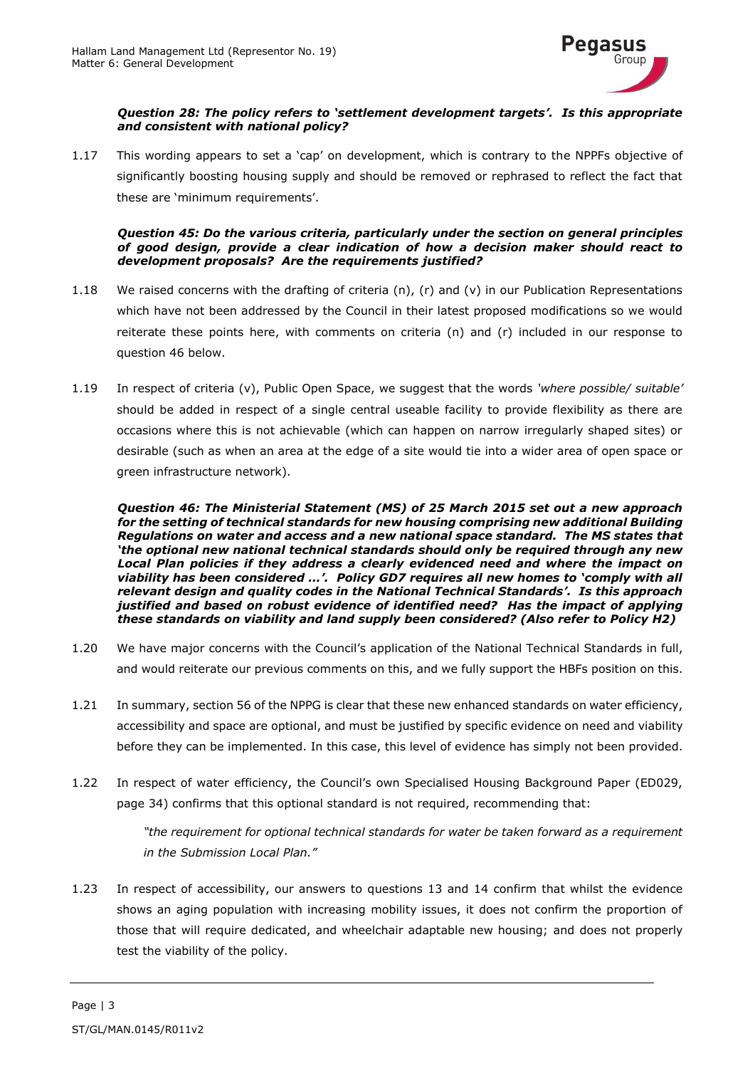

## *Question 28: The policy refers to 'settlement development targets'. Is this appropriate and consistent with national policy?*

1.17 This wording appears to set a 'cap' on development, which is contrary to the NPPFs objective of significantly boosting housing supply and should be removed or rephrased to reflect the fact that these are 'minimum requirements'.

#### *Question 45: Do the various criteria, particularly under the section on general principles of good design, provide a clear indication of how a decision maker should react to development proposals? Are the requirements justified?*

- 1.18 We raised concerns with the drafting of criteria (n), (r) and (v) in our Publication Representations which have not been addressed by the Council in their latest proposed modifications so we would reiterate these points here, with comments on criteria (n) and (r) included in our response to question 46 below.
- 1.19 In respect of criteria (v), Public Open Space, we suggest that the words *'where possible/ suitable'* should be added in respect of a single central useable facility to provide flexibility as there are occasions where this is not achievable (which can happen on narrow irregularly shaped sites) or desirable (such as when an area at the edge of a site would tie into a wider area of open space or green infrastructure network).

*Question 46: The Ministerial Statement (MS) of 25 March 2015 set out a new approach for the setting of technical standards for new housing comprising new additional Building Regulations on water and access and a new national space standard. The MS states that 'the optional new national technical standards should only be required through any new*  Local Plan policies if they address a clearly evidenced need and where the impact on *viability has been considered …'. Policy GD7 requires all new homes to 'comply with all relevant design and quality codes in the National Technical Standards'. Is this approach justified and based on robust evidence of identified need? Has the impact of applying these standards on viability and land supply been considered? (Also refer to Policy H2)*

- 1.20 We have major concerns with the Council's application of the National Technical Standards in full, and would reiterate our previous comments on this, and we fully support the HBFs position on this.
- 1.21 In summary, section 56 of the NPPG is clear that these new enhanced standards on water efficiency, accessibility and space are optional, and must be justified by specific evidence on need and viability before they can be implemented. In this case, this level of evidence has simply not been provided.
- 1.22 In respect of water efficiency, the Council's own Specialised Housing Background Paper (ED029, page 34) confirms that this optional standard is not required, recommending that:

*"the requirement for optional technical standards for water be taken forward as a requirement in the Submission Local Plan."*

1.23 In respect of accessibility, our answers to questions 13 and 14 confirm that whilst the evidence shows an aging population with increasing mobility issues, it does not confirm the proportion of those that will require dedicated, and wheelchair adaptable new housing; and does not properly test the viability of the policy.